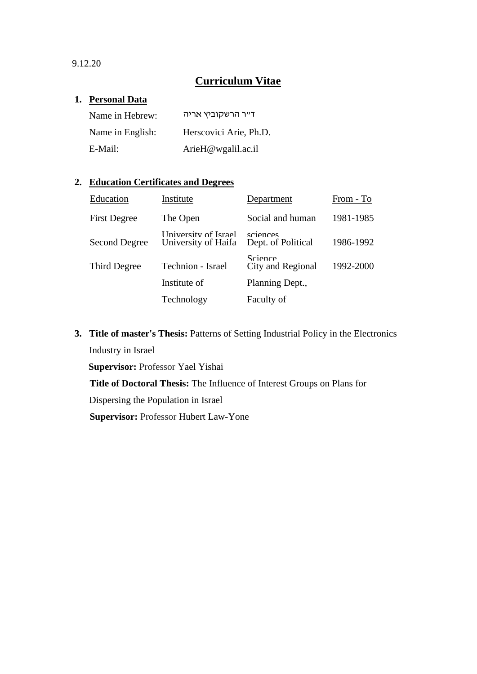9.12.20

# **Curriculum Vitae**

#### **1. Personal Data**

| Name in Hebrew:  | דייר הרשקוביץ אריה     |
|------------------|------------------------|
| Name in English: | Herscovici Arie, Ph.D. |
| E-Mail:          | ArieH@wgalil.ac.il     |

### **2. Education Certificates and Degrees**

| Education            | Institute                                     | Department                                  | From - To |
|----------------------|-----------------------------------------------|---------------------------------------------|-----------|
| <b>First Degree</b>  | The Open                                      | Social and human                            | 1981-1985 |
| <b>Second Degree</b> | I Iniversity of Israel<br>University of Haifa | sciences<br>Dept. of Political              | 1986-1992 |
| Third Degree         | Technion - Israel                             | $Sci$ <sub>e</sub> nce<br>City and Regional | 1992-2000 |
|                      | Institute of                                  | Planning Dept.,                             |           |
|                      | Technology                                    | Faculty of                                  |           |

**3. Title of master's Thesis:** Patterns of Setting Industrial Policy in the Electronics Industry in Israel

**Supervisor:** Professor Yael Yishai

**Title of Doctoral Thesis:** The Influence of Interest Groups on Plans for

Dispersing the Population in Israel

**Supervisor: Professor Hubert Law-Yone**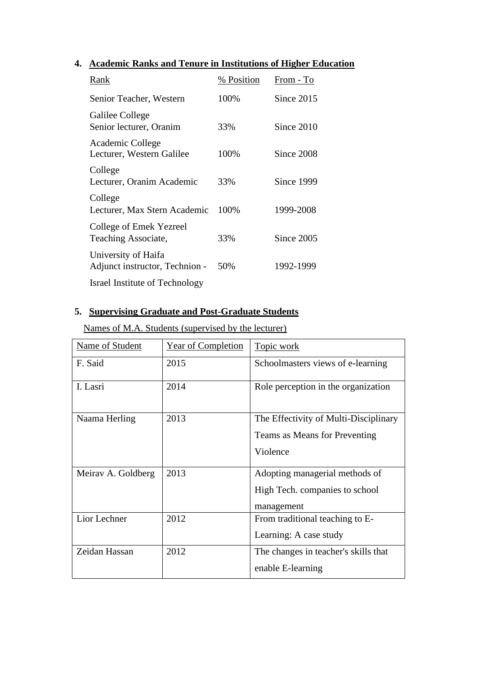### **4. Academic Ranks and Tenure in Institutions of Higher Education**

| Rank                                                  | % Position | From - To    |
|-------------------------------------------------------|------------|--------------|
| Senior Teacher, Western                               | 100%       | Since $2015$ |
| Galilee College<br>Senior lecturer, Oranim            | 33%        | Since 2010   |
| Academic College<br>Lecturer, Western Galilee         | 100%       | Since 2008   |
| College<br>Lecturer, Oranim Academic                  | 33%        | Since 1999   |
| College<br>Lecturer, Max Stern Academic               | 100%       | 1999-2008    |
| College of Emek Yezreel<br>Teaching Associate,        | 33%        | Since 2005   |
| University of Haifa<br>Adjunct instructor, Technion - | 50\%       | 1992-1999    |
| Israel Institute of Technology                        |            |              |

### **5. Supervising Graduate and Post-Graduate Students**

Names of M.A. Students (supervised by the lecturer)

| Name of Student    | Year of Completion | Topic work                            |
|--------------------|--------------------|---------------------------------------|
| F. Said            | 2015               | Schoolmasters views of e-learning     |
| I. Lasri           | 2014               | Role perception in the organization   |
| Naama Herling      | 2013               | The Effectivity of Multi-Disciplinary |
|                    |                    | Teams as Means for Preventing         |
|                    |                    | Violence                              |
| Meirav A. Goldberg | 2013               | Adopting managerial methods of        |
|                    |                    | High Tech. companies to school        |
|                    |                    | management                            |
| Lior Lechner       | 2012               | From traditional teaching to E-       |
|                    |                    | Learning: A case study                |
| Zeidan Hassan      | 2012               | The changes in teacher's skills that  |
|                    |                    | enable E-learning                     |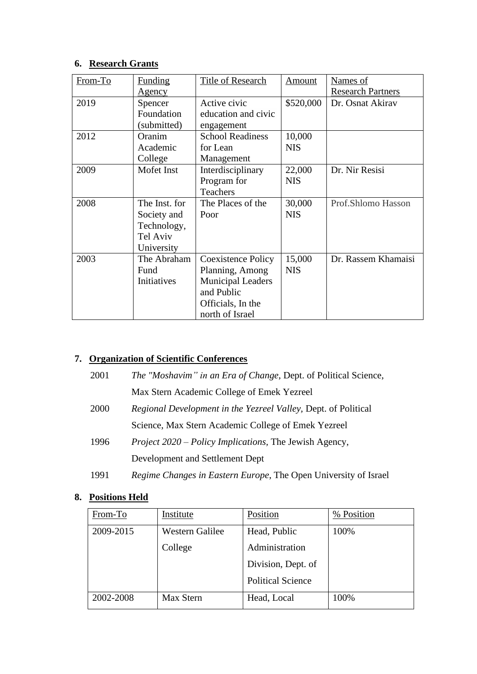### **6. Research Grants**

| From-To | <b>Funding</b> | Title of Research        | Amount     | Names of                 |
|---------|----------------|--------------------------|------------|--------------------------|
|         | Agency         |                          |            | <b>Research Partners</b> |
| 2019    | Spencer        | Active civic             | \$520,000  | Dr. Osnat Akirav         |
|         | Foundation     | education and civic      |            |                          |
|         | (submitted)    | engagement               |            |                          |
| 2012    | Oranim         | <b>School Readiness</b>  | 10,000     |                          |
|         | Academic       | for Lean                 | <b>NIS</b> |                          |
|         | College        | Management               |            |                          |
| 2009    | Mofet Inst     | Interdisciplinary        | 22,000     | Dr. Nir Resisi           |
|         |                | Program for              | <b>NIS</b> |                          |
|         |                | <b>Teachers</b>          |            |                          |
| 2008    | The Inst. for  | The Places of the        | 30,000     | Prof.Shlomo Hasson       |
|         | Society and    | Poor                     | <b>NIS</b> |                          |
|         | Technology,    |                          |            |                          |
|         | Tel Aviv       |                          |            |                          |
|         | University     |                          |            |                          |
| 2003    | The Abraham    | Coexistence Policy       | 15,000     | Dr. Rassem Khamaisi      |
|         | Fund           | Planning, Among          | <b>NIS</b> |                          |
|         | Initiatives    | <b>Municipal Leaders</b> |            |                          |
|         |                | and Public               |            |                          |
|         |                | Officials, In the        |            |                          |
|         |                | north of Israel          |            |                          |

## **7. Organization of Scientific Conferences**

| 2001 | <i>The "Moshavim" in an Era of Change, Dept. of Political Science,</i> |
|------|------------------------------------------------------------------------|
|      | Max Stern Academic College of Emek Yezreel                             |
| 2000 | <i>Regional Development in the Yezreel Valley, Dept. of Political</i>  |
|      | Science, Max Stern Academic College of Emek Yezreel                    |
| 1996 | <i>Project 2020 – Policy Implications, The Jewish Agency,</i>          |
|      | Development and Settlement Dept                                        |
|      |                                                                        |

# 1991 *Regime Changes in Eastern Europe*, The Open University of Israel

# **8. Positions Held**

| From-To   | Institute       | Position                 | % Position |
|-----------|-----------------|--------------------------|------------|
| 2009-2015 | Western Galilee | Head, Public             | 100%       |
|           | College         | Administration           |            |
|           |                 | Division, Dept. of       |            |
|           |                 | <b>Political Science</b> |            |
| 2002-2008 | Max Stern       | Head, Local              | 100%       |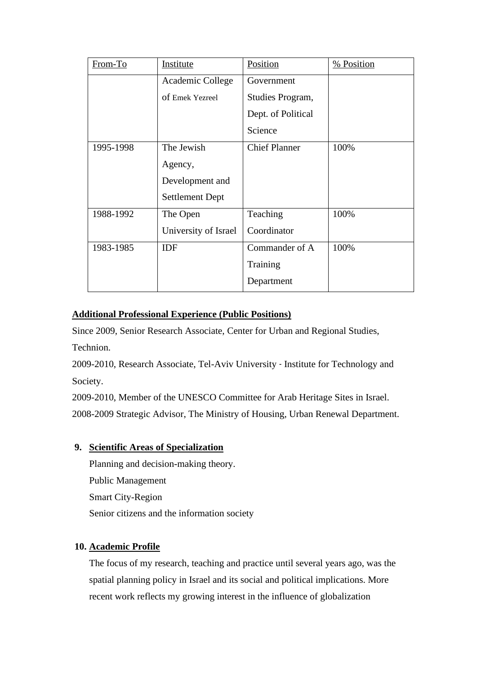| From-To   | Institute              | Position             | % Position |
|-----------|------------------------|----------------------|------------|
|           | Academic College       | Government           |            |
|           | of Emek Yezreel        | Studies Program,     |            |
|           |                        | Dept. of Political   |            |
|           |                        | Science              |            |
| 1995-1998 | The Jewish             | <b>Chief Planner</b> | 100%       |
|           | Agency,                |                      |            |
|           | Development and        |                      |            |
|           | <b>Settlement Dept</b> |                      |            |
| 1988-1992 | The Open               | Teaching             | 100%       |
|           | University of Israel   | Coordinator          |            |
| 1983-1985 | <b>IDF</b>             | Commander of A       | 100%       |
|           |                        | Training             |            |
|           |                        | Department           |            |

### **Additional Professional Experience (Public Positions)**

Since 2009, Senior Research Associate, Center for Urban and Regional Studies, Technion.

2009-2010, Research Associate, Tel-Aviv University - Institute for Technology and Society.

2009-2010, Member of the UNESCO Committee for Arab Heritage Sites in Israel. 2008-2009 Strategic Advisor, The Ministry of Housing, Urban Renewal Department.

### **9. Scientific Areas of Specialization**

Planning and decision-making theory. Public Management Smart City-Region Senior citizens and the information society

### **10. Academic Profile**

The focus of my research, teaching and practice until several years ago, was the spatial planning policy in Israel and its social and political implications. More recent work reflects my growing interest in the influence of globalization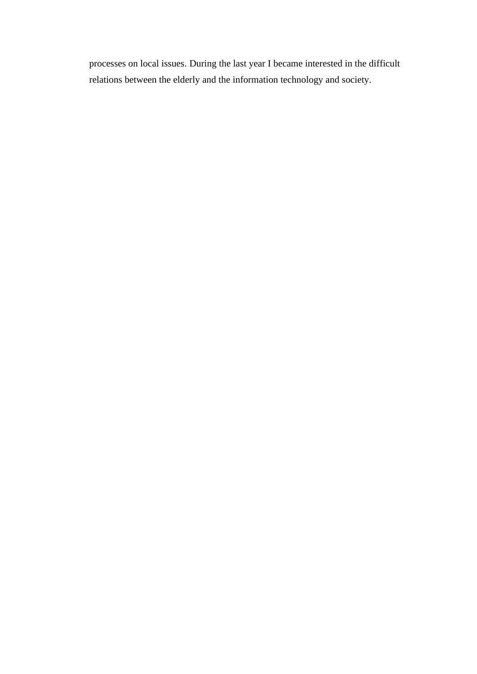processes on local issues. During the last year I became interested in the difficult relations between the elderly and the information technology and society.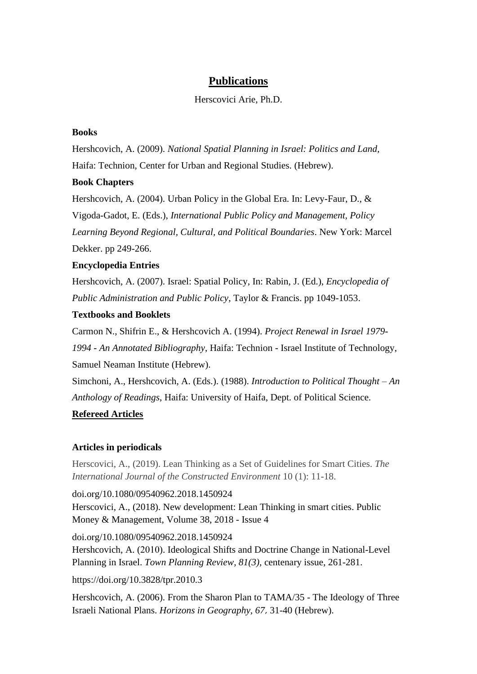### **Publications**

#### Herscovici Arie, Ph.D.

#### **Books**

Hershcovich, A. (2009). *National Spatial Planning in Israel: Politics and Land,* Haifa: Technion, Center for Urban and Regional Studies. (Hebrew).

#### **Book Chapters**

Hershcovich, A. (2004). Urban Policy in the Global Era. In: Levy-Faur, D., & Vigoda-Gadot, E. (Eds.), *International Public Policy and Management, Policy Learning Beyond Regional, Cultural, and Political Boundaries*. New York: Marcel Dekker. pp 249-266.

#### **Encyclopedia Entries**

Hershcovich, A. (2007). Israel: Spatial Policy, In: Rabin, J. (Ed.), *Encyclopedia of Public Administration and Public Policy*, Taylor & Francis. pp 1049-1053.

#### **Textbooks and Booklets**

Carmon N., Shifrin E., & Hershcovich A. (1994). *Project Renewal in Israel 1979- 1994 - An Annotated Bibliography*, Haifa: Technion - Israel Institute of Technology, Samuel Neaman Institute (Hebrew).

Simchoni, A., Hershcovich, A. (Eds.). (1988). *Introduction to Political Thought – An Anthology of Readings*, Haifa: University of Haifa, Dept. of Political Science. **Refereed Articles**

#### **Articles in periodicals**

Herscovici, A., (2019). Lean Thinking as a Set of Guidelines for Smart Cities. *The International Journal of the Constructed Environment* 10 (1): 11-18.

doi.org/10.1080/09540962.2018.1450924

Herscovici, A., (2018). [New development: Lean Thinking in smart cities.](https://www.tandfonline.com/doi/full/10.1080/09540962.2018.1450924) [Public](https://www.tandfonline.com/toc/rpmm20/current)  [Money & Management,](https://www.tandfonline.com/toc/rpmm20/current) [Volume 38, 2018 -](https://www.tandfonline.com/toc/rpmm20/38/4) Issue 4

doi.org/10.1080/09540962.2018.1450924

Hershcovich, A. (2010). Ideological Shifts and Doctrine Change in National-Level Planning in Israel. *Town Planning Review*, *81(3),* centenary issue, 261-281.

<https://doi.org/10.3828/tpr.2010.3>

Hershcovich, A. (2006). From the Sharon Plan to TAMA/35 - The Ideology of Three Israeli National Plans. *Horizons in Geography, 67*, 31-40 (Hebrew).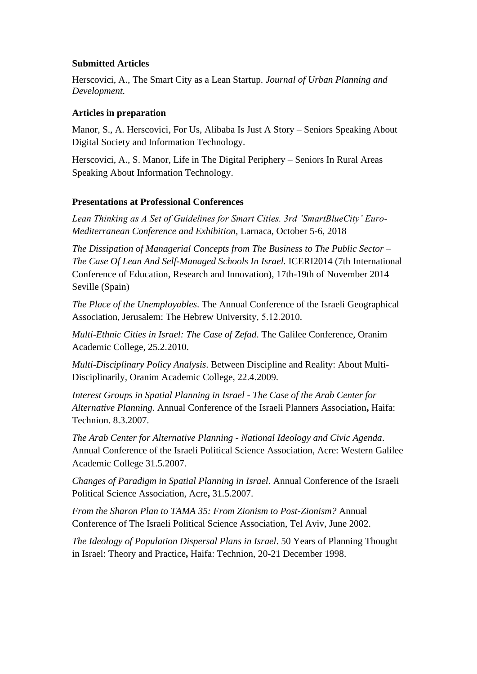#### **Submitted Articles**

Herscovici, A., The Smart City as a Lean Startup. *Journal of Urban Planning and Development.*

### **Articles in preparation**

Manor, S., A. Herscovici, For Us, Alibaba Is Just A Story – Seniors Speaking About Digital Society and Information Technology.

Herscovici, A., S. Manor, Life in The Digital Periphery – Seniors In Rural Areas Speaking About Information Technology.

### **Presentations at Professional Conferences**

*Lean Thinking as A Set of Guidelines for Smart Cities. 3rd 'SmartBlueCity' Euro-Mediterranean Conference and Exhibition,* Larnaca, October 5-6, 2018

*The Dissipation of Managerial Concepts from The Business to The Public Sector – The Case Of Lean And Self-Managed Schools In Israel.* ICERI2014 (7th International Conference of Education, Research and Innovation), 17th-19th of November 2014 Seville (Spain)

*The Place of the Unemployables*. The Annual Conference of the Israeli Geographical Association*,* Jerusalem: The Hebrew University, 5.12.2010.

*Multi-Ethnic Cities in Israel: The Case of Zefad*. The Galilee Conference*,* Oranim Academic College, 25.2.2010.

*Multi-Disciplinary Policy Analysis*. Between Discipline and Reality: About Multi-Disciplinarily*,* Oranim Academic College, 22.4.2009.

*Interest Groups in Spatial Planning in Israel - The Case of the Arab Center for Alternative Planning*. Annual Conference of the Israeli Planners Association**,** Haifa: Technion. 8.3.2007.

*The Arab Center for Alternative Planning - National Ideology and Civic Agenda*. Annual Conference of the Israeli Political Science Association, Acre: Western Galilee Academic College 31.5.2007.

*Changes of Paradigm in Spatial Planning in Israel*. Annual Conference of the Israeli Political Science Association, Acre**,** 31.5.2007.

*From the Sharon Plan to TAMA 35: From Zionism to Post-Zionism?* Annual Conference of The Israeli Political Science Association, Tel Aviv, June 2002.

*The Ideology of Population Dispersal Plans in Israel*. 50 Years of Planning Thought in Israel: Theory and Practice**,** Haifa: Technion, 20-21 December 1998.